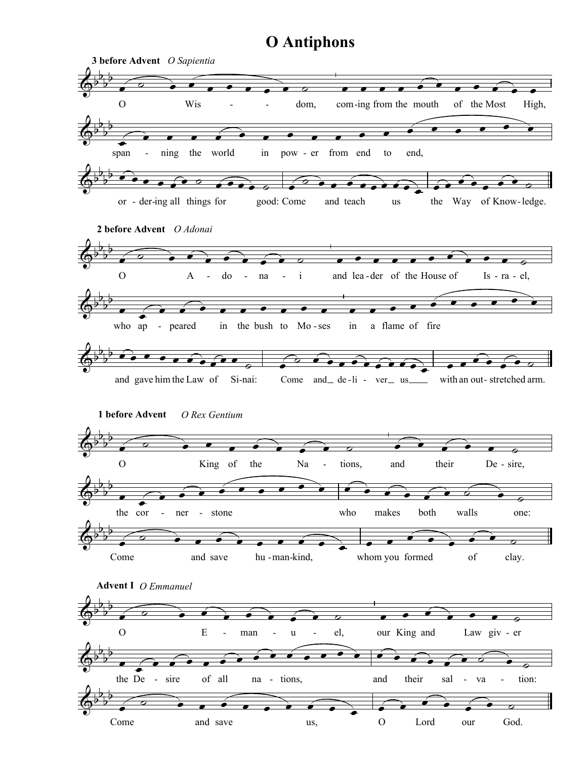## O Antiphons